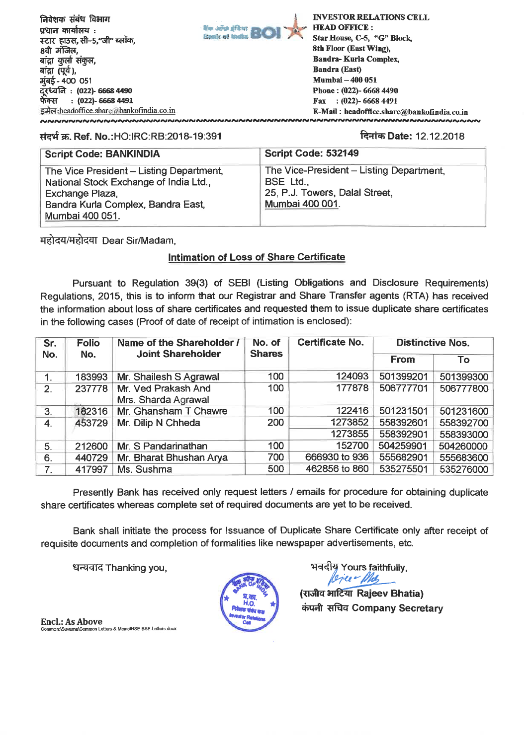

### **TiTitw. Ref. No.:HO:IRC:RB:2018-19:391 'R.iich Date: 12.12.2018**

| <b>Script Code: BANKINDIA</b>                                                                                                                                  | Script Code: 532149                                                                                        |
|----------------------------------------------------------------------------------------------------------------------------------------------------------------|------------------------------------------------------------------------------------------------------------|
| The Vice President - Listing Department,<br>National Stock Exchange of India Ltd.,<br>Exchange Plaza,<br>Bandra Kurla Complex, Bandra East,<br>Mumbai 400 051. | The Vice-President - Listing Department,<br>BSE Ltd.,<br>25, P.J. Towers, Dalal Street,<br>Mumbai 400 001. |

महोदय/महोदया Dear Sir/Madam,

### **Intimation of Loss of Share Certificate**

Pursuant to Regulation 39(3) of SEBI (Listing Obligations and Disclosure Requirements) Regulations, 2015, this is to inform that our Registrar and Share Transfer agents (RTA) has received the information about loss of share certificates and requested them to issue duplicate share certificates in the following cases (Proof of date of receipt of intimation is enclosed):

| <b>Folio</b><br>Sr. |        | Name of the Shareholder /                  | No. of        | Certificate No. | <b>Distinctive Nos.</b> |           |
|---------------------|--------|--------------------------------------------|---------------|-----------------|-------------------------|-----------|
| No.                 | No.    | <b>Joint Shareholder</b>                   | <b>Shares</b> |                 | <b>From</b>             | To        |
| $\overline{1}$ .    | 183993 | Mr. Shailesh S Agrawal                     | 100           | 124093          | 501399201               | 501399300 |
| 2.                  | 237778 | Mr. Ved Prakash And<br>Mrs. Sharda Agrawal | 100           | 177878          | 506777701               | 506777800 |
| 3.                  | 182316 | Mr. Ghansham T Chawre                      | 100           | 122416          | 501231501               | 501231600 |
| 4.                  | 453729 | Mr. Dilip N Chheda                         | 200           | 1273852         | 558392601               | 558392700 |
|                     |        |                                            |               | 1273855         | 558392901               | 558393000 |
| 5.                  | 212600 | Mr. S Pandarinathan                        | 100           | 152700          | 504259901               | 504260000 |
| 6.                  | 440729 | Mr. Bharat Bhushan Arya                    | 700           | 666930 to 936   | 555682901               | 555683600 |
| 7.                  | 417997 | Ms. Sushma                                 | 500           | 462856 to 860   | 535275501               | 535276000 |

Presently Bank has received only request letters / emails for procedure for obtaining duplicate share certificates whereas complete set of required documents are yet to be received.

Bank shall initiate the process for Issuance of Duplicate Share Certificate only after receipt of requisite documents and completion of formalities like newspaper advertisements, etc.

धन्यवाद Thanking you,



**Yours faithfully,** 

**Rajeev Bhatia) ci Company Secretary** 

**Encl.: As Above Production**<br>non Letters & MemoWSE BSE Letters.docx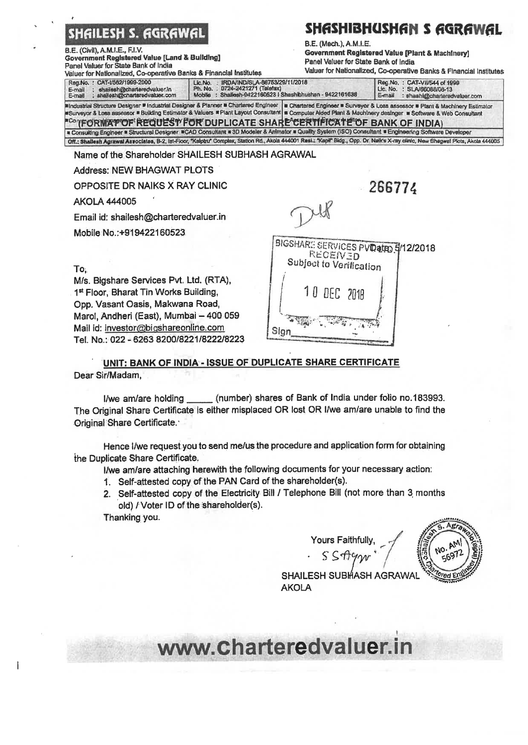### B.E. (Civil), A.M.I.E., F.I.V.

### Government Registered Value [Land & Building] Panel Valuer for State Bank of India

## SHASHIBHUSHAN S AGRAWAL

B.E. (Mech.), A.M.I.E.

Government Registered Value [Plant & Machinery] Panel Valuer for State Bank of India

| Valuer for Nationalized, Co-operative Banks & Financial Institutes                                                                                                                                                                     |                                             |                                                                                           | Valuer for Nationalized, Co-operative Banks & Financial Institutes                                                                                                                 |
|----------------------------------------------------------------------------------------------------------------------------------------------------------------------------------------------------------------------------------------|---------------------------------------------|-------------------------------------------------------------------------------------------|------------------------------------------------------------------------------------------------------------------------------------------------------------------------------------|
| Reg.No.: CAT-1/562/1999-2000<br>: shallesh@charteredvaluer.in<br>E-mail<br>: shallesh@charteredvaluer.com<br>E-mail                                                                                                                    | Lic.No.<br>Ph. No. : 0724-2421271 (Telefax) | RDA/IND/SLA-66753/29/11/2018<br>Mohile : Shailesh-9422160523   Shashibhushan - 9422161638 | Reg.No.: CAT-VII/544 of 1999<br>Lic. No.<br>SLA/66088/08-13<br>E-mail<br>: shashl@charleredvaluer.com                                                                              |
| Surveyor & Loss assessor * Building Estimator & Valuers * Plant Layout Consultant   Computer Alded Plant & Machinery desinger * Software & Web Consultant<br>"CortForwat of Request for Duplicate Share certificate" of Bank of India) |                                             |                                                                                           | ■Industrial Structure Designer ■ Industrial Designer & Planner ■ Chartered Engineer   ■ Chartered Engineer ■ Surveyor & Loss assessor ■ Plant & Machinery Estimator                |
| a Consulting Engineer a Structural Designer #CAD Consultant = 3D Modeler & Animator # Quality System (ISO) Consultant # Engineering Software Developer                                                                                 |                                             |                                                                                           |                                                                                                                                                                                    |
|                                                                                                                                                                                                                                        |                                             |                                                                                           | Off.; Shallesh Agrawal Associates, B-2, ist-Floor, "Kalphu" Complex, Station Rd., Akola 444001 Resi.: "Kapil" Bldg., Opp. Dr. Naik's X-ray clinic, New Bhagwat Plots, Akola 444005 |
| Name of the Shareholder SHAILESH SUBHASH AGRAWAL                                                                                                                                                                                       |                                             |                                                                                           |                                                                                                                                                                                    |
| Address: NEW BHAGWAT PLOTS                                                                                                                                                                                                             |                                             |                                                                                           |                                                                                                                                                                                    |
| OPPOSITE DR NAIKS X RAY CLINIC                                                                                                                                                                                                         |                                             |                                                                                           | 266774                                                                                                                                                                             |
| <b>AKOLA 444005</b>                                                                                                                                                                                                                    |                                             |                                                                                           |                                                                                                                                                                                    |
| Email id: shailesh@charteredvaluer.in                                                                                                                                                                                                  |                                             |                                                                                           |                                                                                                                                                                                    |
| Mobile No.: +919422160523                                                                                                                                                                                                              |                                             |                                                                                           |                                                                                                                                                                                    |
|                                                                                                                                                                                                                                        |                                             | BIGSHARE SERVICES PVDateD 5/12/2018                                                       |                                                                                                                                                                                    |
|                                                                                                                                                                                                                                        |                                             | <b>RECEIVED</b>                                                                           |                                                                                                                                                                                    |
| To,                                                                                                                                                                                                                                    |                                             | Subject to Verification                                                                   |                                                                                                                                                                                    |
| M/s. Bigshare Services Pvt. Ltd. (RTA),                                                                                                                                                                                                |                                             |                                                                                           |                                                                                                                                                                                    |
| 1 <sup>st</sup> Floor, Bharat Tin Works Building,                                                                                                                                                                                      |                                             | 11<br><b>DEC 2018</b>                                                                     |                                                                                                                                                                                    |
| Opp. Vasant Oasis, Makwana Road,                                                                                                                                                                                                       |                                             |                                                                                           |                                                                                                                                                                                    |

Sign

Marol, Andheri (East), Mumbai - 400 059 Mail id: investor@bigshareonline.com

Tel. No.: 022 - 6263 8200/8221/8222/8223

### UNIT: BANK OF INDIA - ISSUE OF DUPLICATE SHARE CERTIFICATE Dear Sir/Madam,

I/we am/are holding (number) shares of Bank of India under folio no.183993. The Original Share Certificate is either misplaced OR lost OR I/we am/are unable to find the Original Share Certificate.

Hence I/we request you to send me/us the procedure and application form for obtaining the Duplicate Share Certificate.

I/we am/are attaching herewith the following documents for your necessary action:

- 1. Self-attested copy of the PAN Card of the shareholder(s).
- 2. Self-attested copy of the Electricity Bill / Telephone Bill (not more than 3 months old) / Voter ID of the shareholder(s).

Thanking you.

Yours Faithfully



**SHAILESH SUBHASH AGRAWAL AKOLA** 

# www.Charteredvaluer.in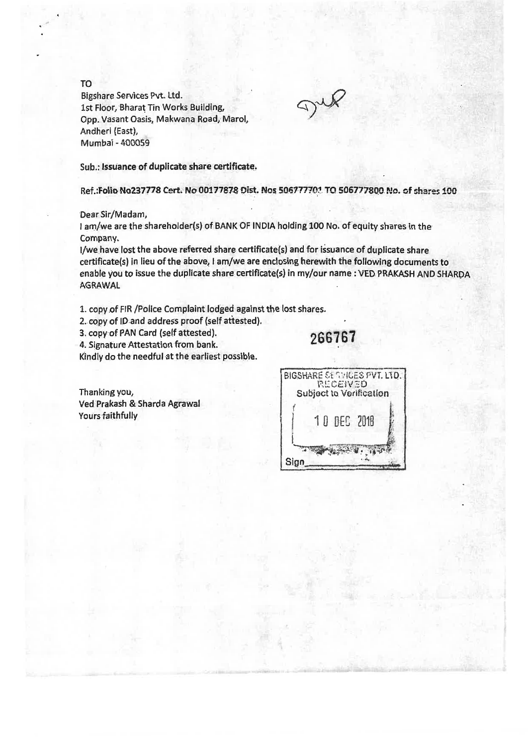TO

Bigshare Services Pvt. Ltd. 1st Floor, Bharat Tin Works Building, Opp. Vasant Oasis, Makwana Road, Marol, Andheri (East), Mumbai - 400059

Sub.: **Issuance of duplicate share certificate.** 

**Ref.:Folio No237778 Cert. No 00177878 Dist. Nos 506777701 TO 506777800 No. of** shares 100

### Dear Sir/Madam,

I am/we are the shareholder(s) of BANK OF INDIA holding **100** No. of equity shares in the Company.

I/we have lost the above **referred** share certificate(s) and for issuance of duplicate share certificate(s) in lieu of the above, I am/we are enclosing herewith the following documents to enable you to issue the duplicate share certificate(s) in my/our name : VED PRAKASH AND SHARDA AGRAWAL

1. copy.of FIR /Police Complaint lodged against the lost shares.

2. copy of ID and address proof (self attested).

3. copy of PAN Card (self attested).

4. Signature Attestation from bank.

Kindly do the needful at the earliest possible.

Thanking you, Ved Prakash & Sharda Agrawal Yours faithfully

BIGSHARE SERVICES PVT. LTD.<br>RECEIVED Subject to Verification **NFC 2018** ..--7774i#,Q-ZKIT;77470' Sign • "

26G767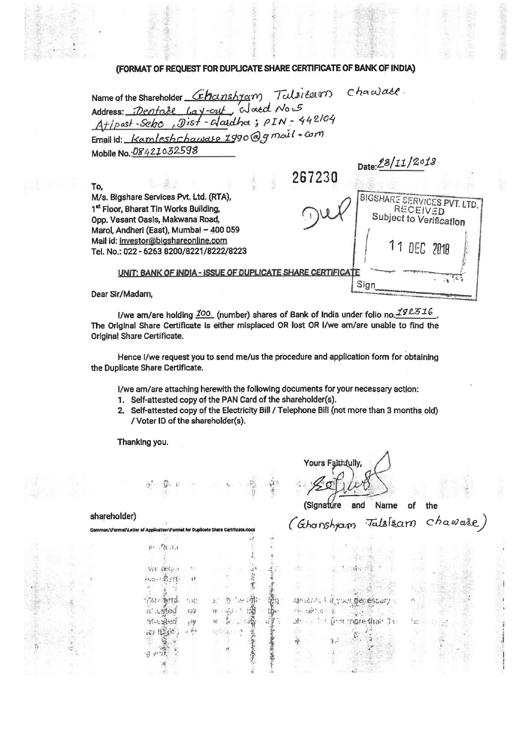### (FORMAT OF REQUEST FOR DUPLICATE SHARE CERTIFICATE OF BANK OF INDIA)

| Name of the Shareholder Chanshyam Talsicum<br>Address: Dentale Lay-cut, alaed No.5<br>Atlpast-Sebo, Dist-alaedha; PIN-442104<br>Email id: Kamleshchaware 1990@gmail . com<br>Mobile No.: 08421032598 |           | chawale                                                                                |
|------------------------------------------------------------------------------------------------------------------------------------------------------------------------------------------------------|-----------|----------------------------------------------------------------------------------------|
| 第一 第一 三<br>To,<br>M/s. Bigshare Services Pvt. Ltd. (RTA),<br>1 <sup>st</sup> Floor, Bharat Tin Works Building,<br>Opp. Vasant Oasis, Makwana Road,                                                   | 267230    | Date: 28/11/2018<br>BIGSHARE SERVICES PVT. LTD.<br>RECEIVED<br>Subject to Verification |
| Marol, Andheri (East), Mumbai - 400 059<br>Mail id: investor@bigshareonline.com<br>Tel. No.: 022 - 6263 8200/8221/8222/8223                                                                          |           | 11 DEC 2018                                                                            |
| UNIT: BANK OF INDIA - ISSUE OF DUPLICATE SHARE CE                                                                                                                                                    | RTIFICATE |                                                                                        |
| Dear Sir/Madam                                                                                                                                                                                       |           | Sign                                                                                   |

I/we am/are holding 100 (number) shares of Bank of India under folio no. 192316 The Original Share Certificate is either misplaced OR lost OR I/we am/are unable to find the Original Share Certificate.

Hence I/we request you to send me/us the procedure and application form for obtaining the Duplicate Share Certificate.

I/we am/are attaching herewith the following documents for your necessary action:

- 1. Self-attested copy of the PAN Card of the shareholder(s).
- 2. Self-attested copy of the Electricity Bill / Telephone Bill (not more than 3 months old) / Voter ID of the shareholder(s).

Thanking you.

shareholder)

Common:\Form

Yours Faithfully (Signature and

**Name** of

the

her.

chaware)

(Ghanshyam Talsisam

1. 单元

Megescary

from more than 35

湖の道は「英智成地

 $\sim$ 

D.

**US UP LE** 

謝

| er fluad  |               |                 |  |
|-----------|---------------|-----------------|--|
|           |               |                 |  |
| NYE REGUL | $\mathcal{F}$ |                 |  |
| 相当一概会作    | $-17$         |                 |  |
|           |               |                 |  |
| 医拉 医竹莲    | 行踪            |                 |  |
|           |               | أوباكية         |  |
| ST-GSHE   |               | $\mathcal{H}^-$ |  |
|           |               | May 1           |  |
|           |               |                 |  |
|           |               |                 |  |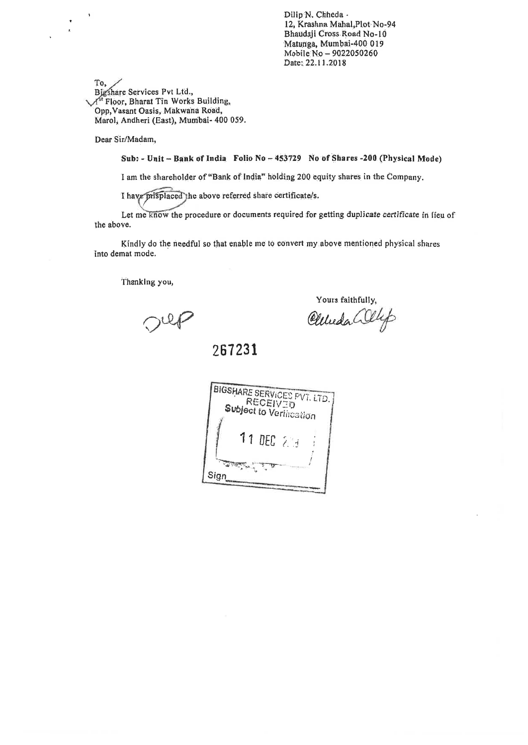Dilip N. Chheda - 12, Krashaa Mahal,Plot No-94 Bhaudaji Cross.Road No-10 Matunga, Mumbai-400 019 Mobile No — 9022050260 Date: 22.11.2018

To, Bjg hare Services Pvt Ltd.,  $A<sup>st</sup>$  Floor, Bharat Tin Works Building, Opp,Vasant Oasis, Makwana Road, Marol, Andheri (East), Mumbai- 400 059.

Dear Sir/Madam,

ı

 $\bullet$ 

Sub; - Unit — Bank of India Folio No — 453729 No of Shares -200 (Physical Mode)

I am the shareholder of "Bank of India" holding 200 equity shares in the Company.

I have misplaced the above referred share certificate/s.

Let me know the procedure or documents required for getting duplicate certificate in lieu of the above.

Kindly do the needful so that enable me to convert my above mentioned physical shares into demat mode.

Thanking you,

 $OUP$ 

Yours faithfully, Cleluda Clup

**267231** 

|      |                          | RECEIVED  | BIGSHARE SERVICES FVT. LTD.<br>Subject to Vertircation |  |
|------|--------------------------|-----------|--------------------------------------------------------|--|
|      |                          | 11 DEC 23 |                                                        |  |
| Sign | <b>CONTRACT PROPERTY</b> |           |                                                        |  |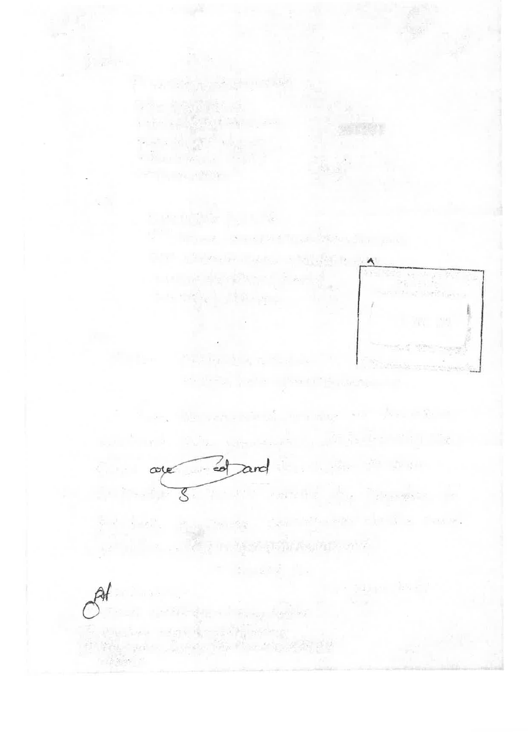$3 - 24 - 4$ 3 Field A Nine Story Jan Ann started with the started of handy there venerate of the stage and the comcepard in the state of the state of the state of the state of the state of the state of the state of the state of the state of the state of the state of the state of the state of the state of the state of the state of the ode The a part of a part of the company of the company of the company of the company of the company of the company of the company of the company of the company of the company of the company of the company of the company of the  $\mathcal{S}^-$ They who was the complete the second Service Processing **Be a man of the property of the contract of the contract of the contract of the contract of the contract of the** Sekalah Tangkan Experience of the Constantine of the